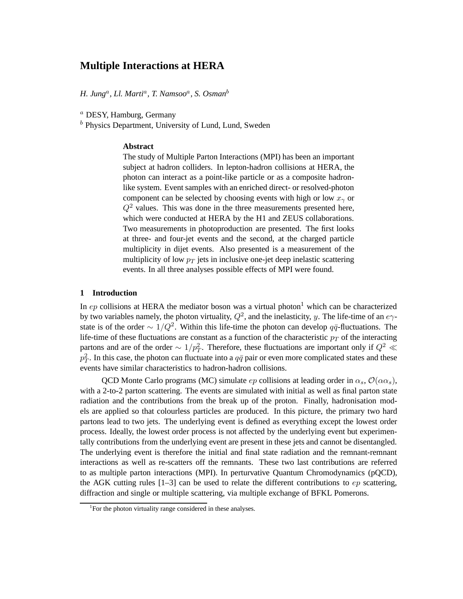# **Multiple Interactions at HERA**

*H. Jung*<sup>a</sup> *, Ll. Marti*<sup>a</sup> *, T. Namsoo*<sup>a</sup> *, S. Osman*<sup>b</sup>

<sup>a</sup> DESY, Hamburg, Germany

 $<sup>b</sup>$  Physics Department, University of Lund, Lund, Sweden</sup>

## **Abstract**

The study of Multiple Parton Interactions (MPI) has been an important subject at hadron colliders. In lepton-hadron collisions at HERA, the photon can interact as a point-like particle or as a composite hadronlike system. Event samples with an enriched direct- or resolved-photon component can be selected by choosing events with high or low  $x<sub>γ</sub>$  or  $Q<sup>2</sup>$  values. This was done in the three measurements presented here, which were conducted at HERA by the H1 and ZEUS collaborations. Two measurements in photoproduction are presented. The first looks at three- and four-jet events and the second, at the charged particle multiplicity in dijet events. Also presented is a measurement of the multiplicity of low  $p_T$  jets in inclusive one-jet deep inelastic scattering events. In all three analyses possible effects of MPI were found.

### **1 Introduction**

In  $ep$  collisions at HERA the mediator boson was a virtual photon<sup>1</sup> which can be characterized by two variables namely, the photon virtuality,  $Q^2$ , and the inelasticity, y. The life-time of an  $e\gamma$ state is of the order  $\sim 1/Q^2$ . Within this life-time the photon can develop  $q\bar{q}$ -fluctuations. The life-time of these fluctuations are constant as a function of the characteristic  $p_T$  of the interacting partons and are of the order  $\sim 1/p_T^2$ . Therefore, these fluctuations are important only if  $Q^2 \ll$ .<br>P7  $T<sub>T</sub>$ . In this case, the photon can fluctuate into a  $q\bar{q}$  pair or even more complicated states and these events have similar characteristics to hadron-hadron collisions.

QCD Monte Carlo programs (MC) simulate  $ep$  collisions at leading order in  $\alpha_s$ ,  $\mathcal{O}(\alpha \alpha_s)$ , with a 2-to-2 parton scattering. The events are simulated with initial as well as final parton state radiation and the contributions from the break up of the proton. Finally, hadronisation models are applied so that colourless particles are produced. In this picture, the primary two hard partons lead to two jets. The underlying event is defined as everything except the lowest order process. Ideally, the lowest order process is not affected by the underlying event but experimentally contributions from the underlying event are present in these jets and cannot be disentangled. The underlying event is therefore the initial and final state radiation and the remnant-remnant interactions as well as re-scatters off the remnants. These two last contributions are referred to as multiple parton interactions (MPI). In perturvative Quantum Chromodynamics (pQCD), the AGK cutting rules  $[1-3]$  can be used to relate the different contributions to  $ep$  scattering, diffraction and single or multiple scattering, via multiple exchange of BFKL Pomerons.

<sup>&</sup>lt;sup>1</sup>For the photon virtuality range considered in these analyses.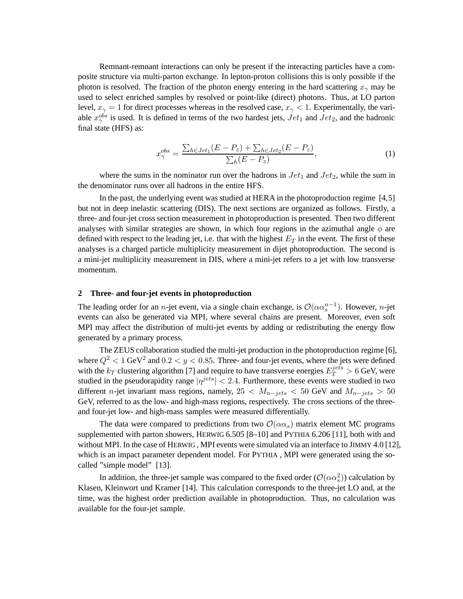Remnant-remnant interactions can only be present if the interacting particles have a composite structure via multi-parton exchange. In lepton-proton collisions this is only possible if the photon is resolved. The fraction of the photon energy entering in the hard scattering  $x<sub>γ</sub>$  may be used to select enriched samples by resolved or point-like (direct) photons. Thus, at LO parton level,  $x_{\gamma} = 1$  for direct processes whereas in the resolved case,  $x_{\gamma} < 1$ . Experimentally, the variable  $x_{\gamma}^{obs}$  is used. It is defined in terms of the two hardest jets,  $Jet_1$  and  $Jet_2$ , and the hadronic final state (HFS) as:

$$
x_{\gamma}^{obs} = \frac{\sum_{h \in Jet_1} (E - P_z) + \sum_{h \in Jet_2} (E - P_z)}{\sum_{h} (E - P_z)},\tag{1}
$$

where the sums in the nominator run over the hadrons in  $Jet_1$  and  $Jet_2$ , while the sum in the denominator runs over all hadrons in the entire HFS.

In the past, the underlying event was studied at HERA in the photoproduction regime [4,5] but not in deep inelastic scattering (DIS). The next sections are organized as follows. Firstly, a three- and four-jet cross section measurement in photoproduction is presented. Then two different analyses with similar strategies are shown, in which four regions in the azimuthal angle  $\phi$  are defined with respect to the leading jet, i.e. that with the highest  $E_T$  in the event. The first of these analyses is a charged particle multiplicity measurement in dijet photoproduction. The second is a mini-jet multiplicity measurement in DIS, where a mini-jet refers to a jet with low transverse momentum.

#### **2 Three- and four-jet events in photoproduction**

The leading order for an *n*-jet event, via a single chain exchange, is  $\mathcal{O}(\alpha \alpha_s^{n-1})$ . However, *n*-jet events can also be generated via MPI, where several chains are present. Moreover, even soft MPI may affect the distribution of multi-jet events by adding or redistributing the energy flow generated by a primary process.

The ZEUS collaboration studied the multi-jet production in the photoproduction regime [6], where  $Q^2 < 1$  GeV<sup>2</sup> and  $0.2 < y < 0.85$ . Three- and four-jet events, where the jets were defined with the  $k_T$  clustering algorithm [7] and require to have transverse energies  $E_T^{jets} > 6$  GeV, were studied in the pseudorapidity range  $|\eta^{jets}| < 2.4$ . Furthermore, these events were studied in two different n-jet invariant mass regions, namely,  $25 < M_{n-jets} < 50$  GeV and  $M_{n-jets} > 50$ GeV, referred to as the low- and high-mass regions, respectively. The cross sections of the threeand four-jet low- and high-mass samples were measured differentially.

The data were compared to predictions from two  $\mathcal{O}(\alpha \alpha_s)$  matrix element MC programs supplemented with parton showers, HERWIG 6.505 [8–10] and PYTHIA 6.206 [11], both with and without MPI. In the case of HERWIG , MPI events were simulated via an interface to JIMMY 4.0 [12], which is an impact parameter dependent model. For PYTHIA, MPI were generated using the socalled "simple model" [13].

In addition, the three-jet sample was compared to the fixed order  $(\mathcal{O}(\alpha \alpha_s^2))$  calculation by Klasen, Kleinwort und Kramer [14]. This calculation corresponds to the three-jet LO and, at the time, was the highest order prediction available in photoproduction. Thus, no calculation was available for the four-jet sample.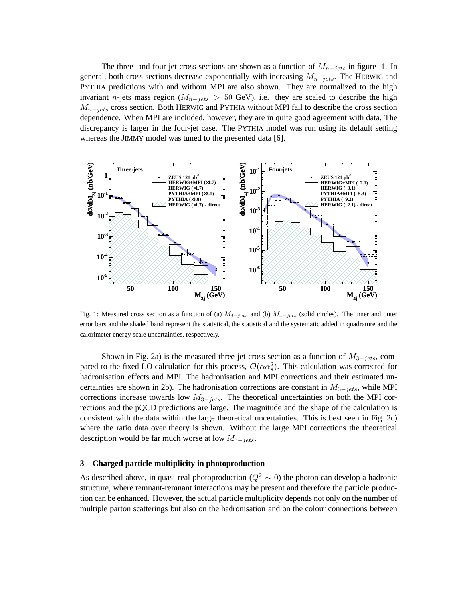The three- and four-jet cross sections are shown as a function of  $M_{n-jets}$  in figure 1. In general, both cross sections decrease exponentially with increasing  $M_{n-jets}$ . The HERWIG and PYTHIA predictions with and without MPI are also shown. They are normalized to the high invariant n-jets mass region ( $M_{n-jets} > 50$  GeV), i.e. they are scaled to describe the high  $M_{n-jets}$  cross section. Both HERWIG and PYTHIA without MPI fail to describe the cross section dependence. When MPI are included, however, they are in quite good agreement with data. The discrepancy is larger in the four-jet case. The PYTHIA model was run using its default setting whereas the JIMMY model was tuned to the presented data [6].



Fig. 1: Measured cross section as a function of (a)  $M_{3-jets}$  and (b)  $M_{4-jets}$  (solid circles). The inner and outer error bars and the shaded band represent the statistical, the statistical and the systematic added in quadrature and the calorimeter energy scale uncertainties, respectively.

Shown in Fig. 2a) is the measured three-jet cross section as a function of  $M_{3-jets}$ , compared to the fixed LO calculation for this process,  $\mathcal{O}(\alpha \alpha_s^2)$ . This calculation was corrected for hadronisation effects and MPI. The hadronisation and MPI corrections and their estimated uncertainties are shown in 2b). The hadronisation corrections are constant in  $M_{3-jets}$ , while MPI corrections increase towards low  $M_{3-jets}$ . The theoretical uncertainties on both the MPI corrections and the pQCD predictions are large. The magnitude and the shape of the calculation is consistent with the data within the large theoretical uncertainties. This is best seen in Fig. 2c) where the ratio data over theory is shown. Without the large MPI corrections the theoretical description would be far much worse at low  $M_{3-jets}$ .

### **3 Charged particle multiplicity in photoproduction**

As described above, in quasi-real photoproduction ( $Q^2 \sim 0$ ) the photon can develop a hadronic structure, where remnant-remnant interactions may be present and therefore the particle production can be enhanced. However, the actual particle multiplicity depends not only on the number of multiple parton scatterings but also on the hadronisation and on the colour connections between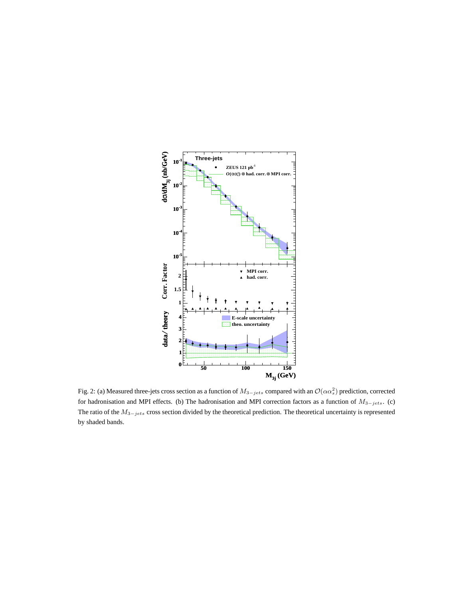

Fig. 2: (a) Measured three-jets cross section as a function of  $M_{3-jets}$  compared with an  $\mathcal{O}(\alpha\alpha_s^2)$  prediction, corrected for hadronisation and MPI effects. (b) The hadronisation and MPI correction factors as a function of  $M_{3-jets}$ . (c) The ratio of the  $M_{3-jets}$  cross section divided by the theoretical prediction. The theoretical uncertainty is represented by shaded bands.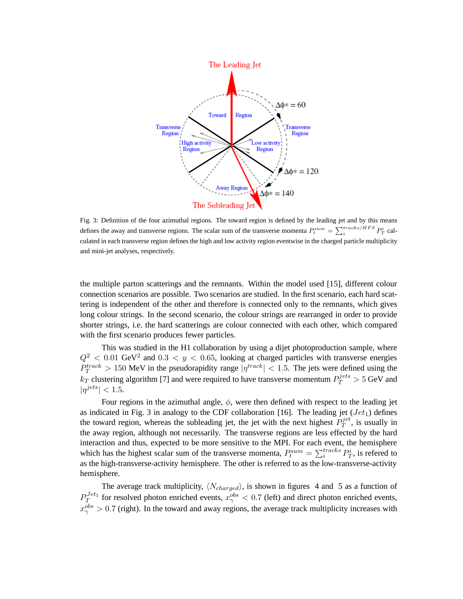

Fig. 3: Definition of the four azimuthal regions. The toward region is defined by the leading jet and by this means defines the away and transverse regions. The scalar sum of the transverse momenta  $P_t^{sum} = \sum_i^{tracks/HFS} P_T^i$  calculated in each transverse region defines the high and low activity region eventwise in the charged particle multiplicity and mini-jet analyses, respectively.

the multiple parton scatterings and the remnants. Within the model used [15], different colour connection scenarios are possible. Two scenarios are studied. In the first scenario, each hard scattering is independent of the other and therefore is connected only to the remnants, which gives long colour strings. In the second scenario, the colour strings are rearranged in order to provide shorter strings, i.e. the hard scatterings are colour connected with each other, which compared with the first scenario produces fewer particles.

This was studied in the H1 collaboration by using a dijet photoproduction sample, where  $Q^2$  < 0.01 GeV<sup>2</sup> and 0.3 < y < 0.65, looking at charged particles with transverse energies  $P_T^{track} > 150$  MeV in the pseudorapidity range  $|\eta^{track}| < 1.5$ . The jets were defined using the  $k_T$  clustering algorithm [7] and were required to have transverse momentum  $P_T^{jets} > 5$  GeV and  $|\eta^{jets}| < 1.5$ .

Four regions in the azimuthal angle,  $\phi$ , were then defined with respect to the leading jet as indicated in Fig. 3 in analogy to the CDF collaboration [16]. The leading jet  $(Jet<sub>1</sub>)$  defines the toward region, whereas the subleading jet, the jet with the next highest  $P_T^{jet}$  $T^{jet}$ , is usually in the away region, although not necessarily. The transverse regions are less effected by the hard interaction and thus, expected to be more sensitive to the MPI. For each event, the hemisphere which has the highest scalar sum of the transverse momenta,  $P_t^{sum} = \sum_i^{tracks} P_T^i$ , is refered to as the high-transverse-activity hemisphere. The other is referred to as the low-transverse-activity hemisphere.

The average track multiplicity,  $\langle N_{charged} \rangle$ , is shown in figures 4 and 5 as a function of  $P_T^{Jet_1}$  $T^{Jet_1}_{T}$  for resolved photon enriched events,  $x^{obs}_{\gamma} < 0.7$  (left) and direct photon enriched events,  $x_{\gamma}^{obs} > 0.7$  (right). In the toward and away regions, the average track multiplicity increases with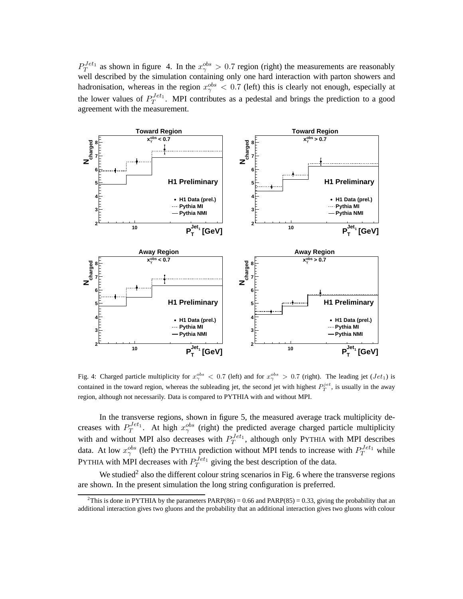$P_T^{Jet_1}$  $T^{Jet_1}$  as shown in figure 4. In the  $x^{obs}_{\gamma} > 0.7$  region (right) the measurements are reasonably well described by the simulation containing only one hard interaction with parton showers and hadronisation, whereas in the region  $x_\gamma^{obs} < 0.7$  (left) this is clearly not enough, especially at the lower values of  $P_T^{Jet_1}$  $T^{Jet_1}$ . MPI contributes as a pedestal and brings the prediction to a good agreement with the measurement.



Fig. 4: Charged particle multiplicity for  $x_\gamma^{obs} < 0.7$  (left) and for  $x_\gamma^{obs} > 0.7$  (right). The leading jet  $(Jet_1)$  is contained in the toward region, whereas the subleading jet, the second jet with highest  $P_T^{jet}$ , is usually in the away region, although not necessarily. Data is compared to PYTHIA with and without MPI.

In the transverse regions, shown in figure 5, the measured average track multiplicity decreases with  $P_T^{Jet_1}$  $T^{Jet_1}$ . At high  $x_\gamma^{obs}$  (right) the predicted average charged particle multiplicity with and without MPI also decreases with  $P_T^{Jet_1}$  $T^{Jet_1}$ , although only PYTHIA with MPI describes data. At low  $x_{\gamma}^{obs}$  (left) the PYTHIA prediction without MPI tends to increase with  $P_T^{Jet_1}$  while PYTHIA with MPI decreases with  $P_T^{Jet_1}$  $T^{Jet_1}$  giving the best description of the data.

We studied<sup>2</sup> also the different colour string scenarios in Fig. 6 where the transverse regions are shown. In the present simulation the long string configuration is preferred.

<sup>&</sup>lt;sup>2</sup>This is done in PYTHIA by the parameters  $PARP(86) = 0.66$  and  $PARP(85) = 0.33$ , giving the probability that an additional interaction gives two gluons and the probability that an additional interaction gives two gluons with colour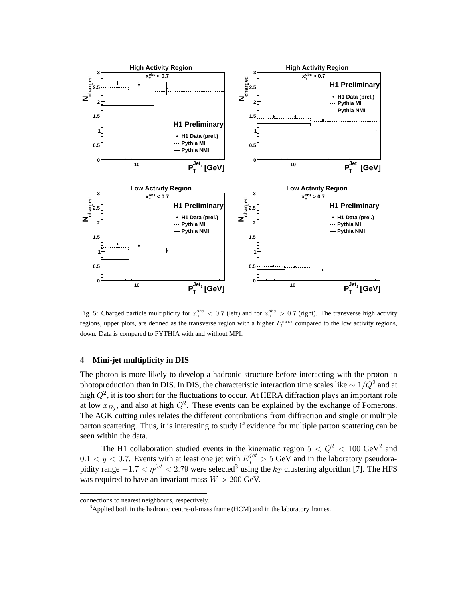

Fig. 5: Charged particle multiplicity for  $x_\gamma^{obs} < 0.7$  (left) and for  $x_\gamma^{obs} > 0.7$  (right). The transverse high activity regions, upper plots, are defined as the transverse region with a higher  $P_t^{sum}$  compared to the low activity regions, down. Data is compared to PYTHIA with and without MPI.

### **4 Mini-jet multiplicity in DIS**

The photon is more likely to develop a hadronic structure before interacting with the proton in photoproduction than in DIS. In DIS, the characteristic interaction time scales like  $\sim 1/\hat{Q}^2$  and at high  $Q^2$ , it is too short for the fluctuations to occur. At HERA diffraction plays an important role at low  $x_{Bj}$ , and also at high  $Q^2$ . These events can be explained by the exchange of Pomerons. The AGK cutting rules relates the different contributions from diffraction and single or multiple parton scattering. Thus, it is interesting to study if evidence for multiple parton scattering can be seen within the data.

The H1 collaboration studied events in the kinematic region  $5 < Q^2 < 100 \text{ GeV}^2$  and  $0.1 < y < 0.7$ . Events with at least one jet with  $E_T^{jet} > 5$  GeV and in the laboratory pseudorapidity range  $-1.7 < \eta^{jet} < 2.79$  were selected<sup>3</sup> using the  $k_T$  clustering algorithm [7]. The HFS was required to have an invariant mass  $W > 200$  GeV.

connections to nearest neighbours, respectively.

<sup>&</sup>lt;sup>3</sup>Applied both in the hadronic centre-of-mass frame (HCM) and in the laboratory frames.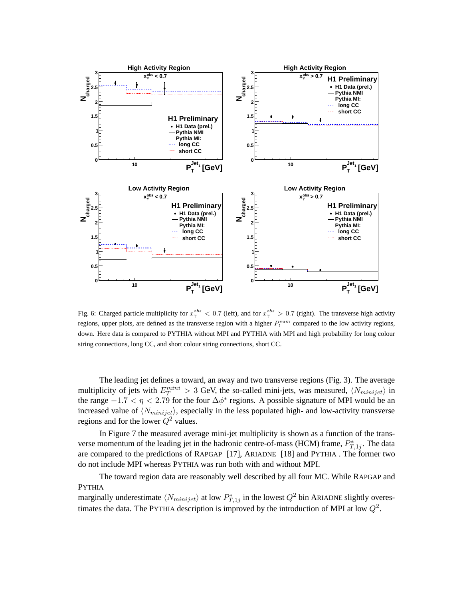

Fig. 6: Charged particle multiplicity for  $x_\gamma^{obs} < 0.7$  (left), and for  $x_\gamma^{obs} > 0.7$  (right). The transverse high activity regions, upper plots, are defined as the transverse region with a higher  $P_t^{sum}$  compared to the low activity regions, down. Here data is compared to PYTHIA without MPI and PYTHIA with MPI and high probability for long colour string connections, long CC, and short colour string connections, short CC.

The leading jet defines a toward, an away and two transverse regions (Fig. 3). The average multiplicity of jets with  $E_T^{mini} > 3$  GeV, the so-called mini-jets, was measured,  $\langle N_{minijet} \rangle$  in the range  $-1.7 < \eta < 2.79$  for the four  $\Delta \phi^*$  regions. A possible signature of MPI would be an increased value of  $\langle N_{minijet} \rangle$ , especially in the less populated high- and low-activity transverse regions and for the lower  $Q^2$  values.

In Figure 7 the measured average mini-jet multiplicity is shown as a function of the transverse momentum of the leading jet in the hadronic centre-of-mass (HCM) frame,  $P_{T,1j}^*$ . The data are compared to the predictions of RAPGAP [17], ARIADNE [18] and PYTHIA . The former two do not include MPI whereas PYTHIA was run both with and without MPI.

The toward region data are reasonably well described by all four MC. While RAPGAP and PYTHIA

marginally underestimate  $\langle N_{minijet} \rangle$  at low  $P_{T,1j}^*$  in the lowest  $Q^2$  bin ARIADNE slightly overestimates the data. The PYTHIA description is improved by the introduction of MPI at low  $Q^2$ .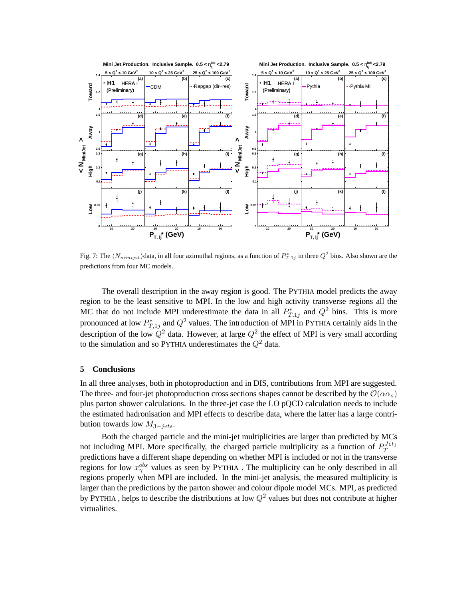

Fig. 7: The  $\langle N_{minijet} \rangle$  data, in all four azimuthal regions, as a function of  $P_{T,1j}^*$  in three  $Q^2$  bins. Also shown are the predictions from four MC models.

The overall description in the away region is good. The PYTHIA model predicts the away region to be the least sensitive to MPI. In the low and high activity transverse regions all the MC that do not include MPI underestimate the data in all  $P_{T,1j}^*$  and  $Q^2$  bins. This is more pronounced at low  $P_{T,1j}^*$  and  $Q^2$  values. The introduction of MPI in PYTHIA certainly aids in the description of the low  $\hat{Q}^2$  data. However, at large  $Q^2$  the effect of MPI is very small according to the simulation and so PYTHIA underestimates the  $Q^2$  data.

#### **5 Conclusions**

In all three analyses, both in photoproduction and in DIS, contributions from MPI are suggested. The three- and four-jet photoproduction cross sections shapes cannot be described by the  $\mathcal{O}(\alpha \alpha_s)$ plus parton shower calculations. In the three-jet case the LO pQCD calculation needs to include the estimated hadronisation and MPI effects to describe data, where the latter has a large contribution towards low  $M_{3-jets}$ .

Both the charged particle and the mini-jet multiplicities are larger than predicted by MCs not including MPI. More specifically, the charged particle multiplicity as a function of  $P_T^{Jet_1}$ T predictions have a different shape depending on whether MPI is included or not in the transverse regions for low  $x_{\gamma}^{obs}$  values as seen by PYTHIA. The multiplicity can be only described in all regions properly when MPI are included. In the mini-jet analysis, the measured multiplicity is larger than the predictions by the parton shower and colour dipole model MCs. MPI, as predicted by PYTHIA, helps to describe the distributions at low  $Q^2$  values but does not contribute at higher virtualities.